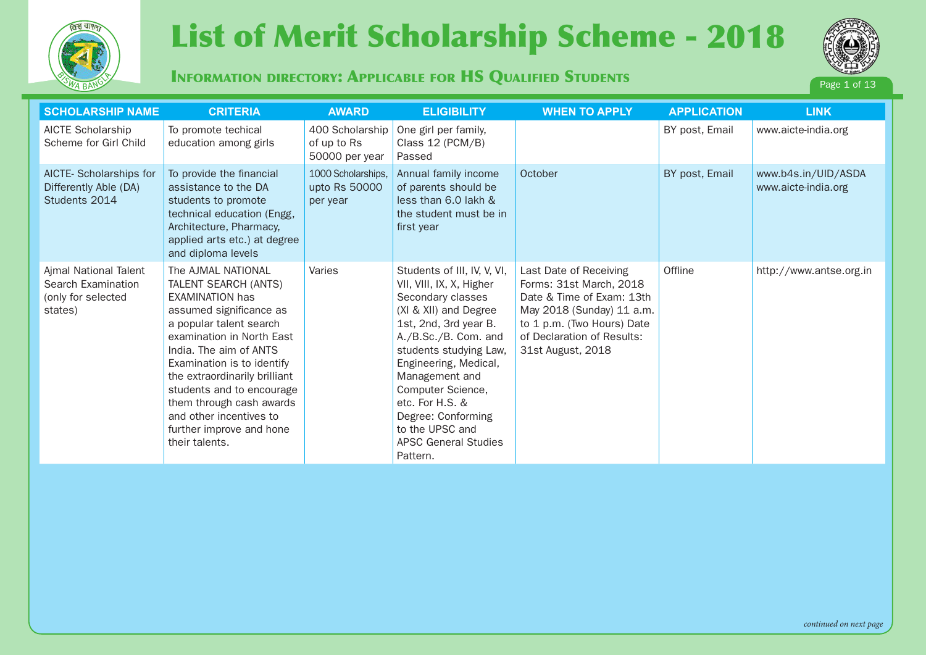

# **SCHOLARSHIP NAME CRITERIA AWARD ELIGIBILITY WHEN TO APPLY APPLICATION LINK Page 13 Page 13 Page 13 Applicate 12018** (International Scholarship Scheme - 2018



## **INFORMATION DIRECTORY: APPLICABLE FOR HS QUALIFIED STUDENTS**



| <b>SCHOLARSHIP NAME</b>                                                      | <b>CRITERIA</b>                                                                                                                                                                                                                                                                                                                                                                    | <b>AWARD</b>                                     | <b>ELIGIBILITY</b>                                                                                                                                                                                                                                                                                                                                      | <b>WHEN TO APPLY</b>                                                                                                                                                                         | <b>APPLICATION</b> | <b>LINK</b>                                |
|------------------------------------------------------------------------------|------------------------------------------------------------------------------------------------------------------------------------------------------------------------------------------------------------------------------------------------------------------------------------------------------------------------------------------------------------------------------------|--------------------------------------------------|---------------------------------------------------------------------------------------------------------------------------------------------------------------------------------------------------------------------------------------------------------------------------------------------------------------------------------------------------------|----------------------------------------------------------------------------------------------------------------------------------------------------------------------------------------------|--------------------|--------------------------------------------|
| AICTE Scholarship<br>Scheme for Girl Child                                   | To promote techical<br>education among girls                                                                                                                                                                                                                                                                                                                                       | 400 Scholarship<br>of up to Rs<br>50000 per year | One girl per family,<br>Class 12 (PCM/B)<br>Passed                                                                                                                                                                                                                                                                                                      |                                                                                                                                                                                              | BY post, Email     | www.aicte-india.org                        |
| AICTE-Scholarships for<br>Differently Able (DA)<br>Students 2014             | To provide the financial<br>assistance to the DA<br>students to promote<br>technical education (Engg,<br>Architecture, Pharmacy,<br>applied arts etc.) at degree<br>and diploma levels                                                                                                                                                                                             | 1000 Scholarships,<br>upto Rs 50000<br>per year  | Annual family income<br>of parents should be<br>less than 6.0 lakh &<br>the student must be in<br>first year                                                                                                                                                                                                                                            | October                                                                                                                                                                                      | BY post, Email     | www.b4s.in/UID/ASDA<br>www.aicte-india.org |
| Ajmal National Talent<br>Search Examination<br>(only for selected<br>states) | The AJMAL NATIONAL<br>TALENT SEARCH (ANTS)<br><b>EXAMINATION has</b><br>assumed significance as<br>a popular talent search<br>examination in North East<br>India. The aim of ANTS<br>Examination is to identify<br>the extraordinarily brilliant<br>students and to encourage<br>them through cash awards<br>and other incentives to<br>further improve and hone<br>their talents. | Varies                                           | Students of III, IV, V, VI,<br>VII, VIII, IX, X, Higher<br>Secondary classes<br>(XI & XII) and Degree<br>1st, 2nd, 3rd year B.<br>A./B.Sc./B. Com. and<br>students studying Law,<br>Engineering, Medical,<br>Management and<br>Computer Science,<br>etc. For H.S. &<br>Degree: Conforming<br>to the UPSC and<br><b>APSC General Studies</b><br>Pattern. | Last Date of Receiving<br>Forms: 31st March, 2018<br>Date & Time of Exam: 13th<br>May 2018 (Sunday) 11 a.m.<br>to 1 p.m. (Two Hours) Date<br>of Declaration of Results:<br>31st August, 2018 | Offline            | http://www.antse.org.in                    |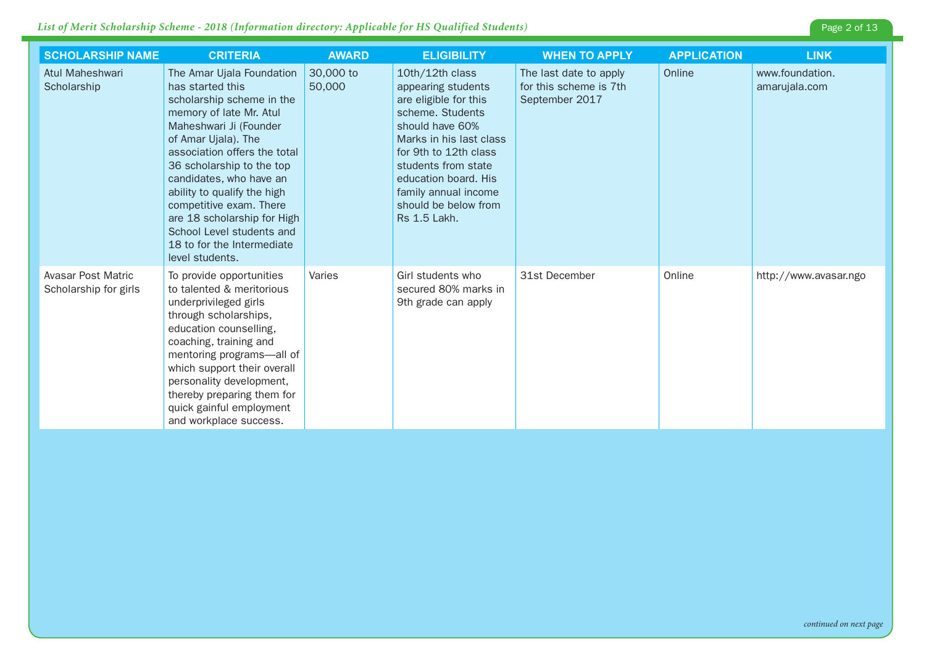| <b>SCHOLARSHIP NAME</b>                     | <b>CRITERIA</b>                                                                                                                                                                                                                                                                                                                                                                                                       | <b>AWARD</b>        | <b>ELIGIBILITY</b>                                                                                                                                                                                                                                                              | <b>WHEN TO APPLY</b>                                               | <b>APPLICATION</b> | <b>LINK</b>                      |
|---------------------------------------------|-----------------------------------------------------------------------------------------------------------------------------------------------------------------------------------------------------------------------------------------------------------------------------------------------------------------------------------------------------------------------------------------------------------------------|---------------------|---------------------------------------------------------------------------------------------------------------------------------------------------------------------------------------------------------------------------------------------------------------------------------|--------------------------------------------------------------------|--------------------|----------------------------------|
| Atul Maheshwari<br>Scholarship              | The Amar Ujala Foundation<br>has started this<br>scholarship scheme in the<br>memory of late Mr. Atul<br>Maheshwari Ji (Founder<br>of Amar Ujala). The<br>association offers the total<br>36 scholarship to the top<br>candidates, who have an<br>ability to qualify the high<br>competitive exam. There<br>are 18 scholarship for High<br>School Level students and<br>18 to for the Intermediate<br>level students. | 30,000 to<br>50,000 | 10th/12th class<br>appearing students<br>are eligible for this<br>scheme. Students<br>should have 60%<br>Marks in his last class<br>for 9th to 12th class<br>students from state<br>education board. His<br>family annual income<br>should be below from<br><b>Rs 1.5 Lakh.</b> | The last date to apply<br>for this scheme is 7th<br>September 2017 | Online             | www.foundation.<br>amarujala.com |
| Avasar Post Matric<br>Scholarship for girls | To provide opportunities<br>to talented & meritorious<br>underprivileged girls<br>through scholarships,<br>education counselling,<br>coaching, training and<br>mentoring programs-all of<br>which support their overall<br>personality development,<br>thereby preparing them for<br>quick gainful employment<br>and workplace success.                                                                               | Varies              | Girl students who<br>secured 80% marks in<br>9th grade can apply                                                                                                                                                                                                                | 31st December                                                      | Online             | http://www.avasar.ngo            |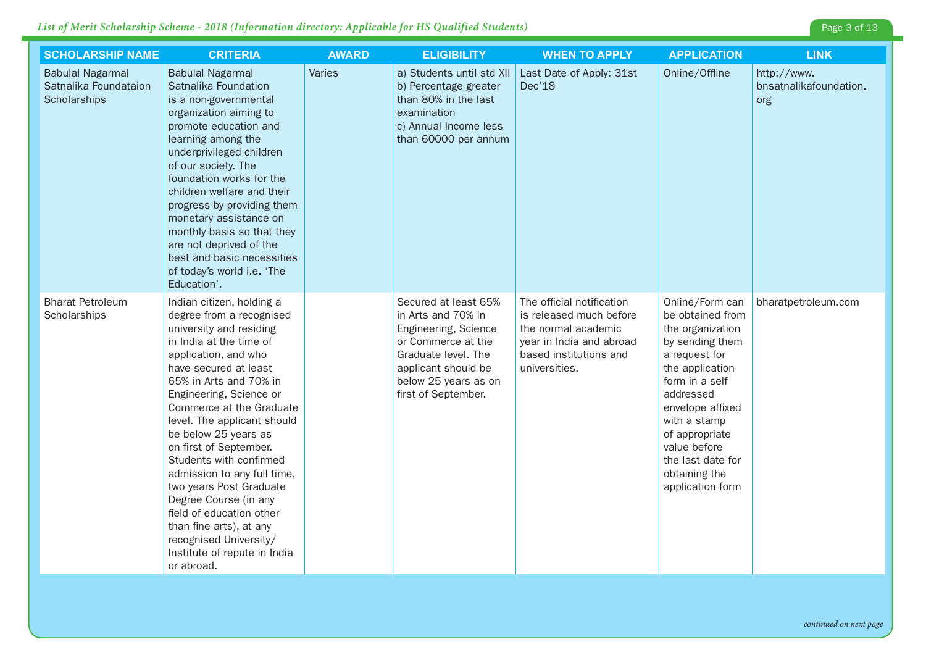| <b>SCHOLARSHIP NAME</b>                                          | <b>CRITERIA</b>                                                                                                                                                                                                                                                                                                                                                                                                                                                                                                                                                             | <b>AWARD</b>  | <b>ELIGIBILITY</b>                                                                                                                                                                    | <b>WHEN TO APPLY</b>                                                                                                                               | <b>APPLICATION</b>                                                                                                                                                                                                                                                            | <b>LINK</b>                                  |
|------------------------------------------------------------------|-----------------------------------------------------------------------------------------------------------------------------------------------------------------------------------------------------------------------------------------------------------------------------------------------------------------------------------------------------------------------------------------------------------------------------------------------------------------------------------------------------------------------------------------------------------------------------|---------------|---------------------------------------------------------------------------------------------------------------------------------------------------------------------------------------|----------------------------------------------------------------------------------------------------------------------------------------------------|-------------------------------------------------------------------------------------------------------------------------------------------------------------------------------------------------------------------------------------------------------------------------------|----------------------------------------------|
| <b>Babulal Nagarmal</b><br>Satnalika Foundataion<br>Scholarships | <b>Babulal Nagarmal</b><br>Satnalika Foundation<br>is a non-governmental<br>organization aiming to<br>promote education and<br>learning among the<br>underprivileged children<br>of our society. The<br>foundation works for the<br>children welfare and their<br>progress by providing them<br>monetary assistance on<br>monthly basis so that they<br>are not deprived of the<br>best and basic necessities<br>of today's world i.e. 'The<br>Education'.                                                                                                                  | <b>Varies</b> | a) Students until std XII<br>b) Percentage greater<br>than 80% in the last<br>examination<br>c) Annual Income less<br>than 60000 per annum                                            | Last Date of Apply: 31st<br>Dec'18                                                                                                                 | Online/Offline                                                                                                                                                                                                                                                                | http://www.<br>bnsatnalikafoundation.<br>org |
| <b>Bharat Petroleum</b><br>Scholarships                          | Indian citizen, holding a<br>degree from a recognised<br>university and residing<br>in India at the time of<br>application, and who<br>have secured at least<br>65% in Arts and 70% in<br>Engineering, Science or<br>Commerce at the Graduate<br>level. The applicant should<br>be below 25 years as<br>on first of September.<br>Students with confirmed<br>admission to any full time,<br>two years Post Graduate<br>Degree Course (in any<br>field of education other<br>than fine arts), at any<br>recognised University/<br>Institute of repute in India<br>or abroad. |               | Secured at least 65%<br>in Arts and 70% in<br>Engineering, Science<br>or Commerce at the<br>Graduate level. The<br>applicant should be<br>below 25 years as on<br>first of September. | The official notification<br>is released much before<br>the normal academic<br>year in India and abroad<br>based institutions and<br>universities. | Online/Form can<br>be obtained from<br>the organization<br>by sending them<br>a request for<br>the application<br>form in a self<br>addressed<br>envelope affixed<br>with a stamp<br>of appropriate<br>value before<br>the last date for<br>obtaining the<br>application form | bharatpetroleum.com                          |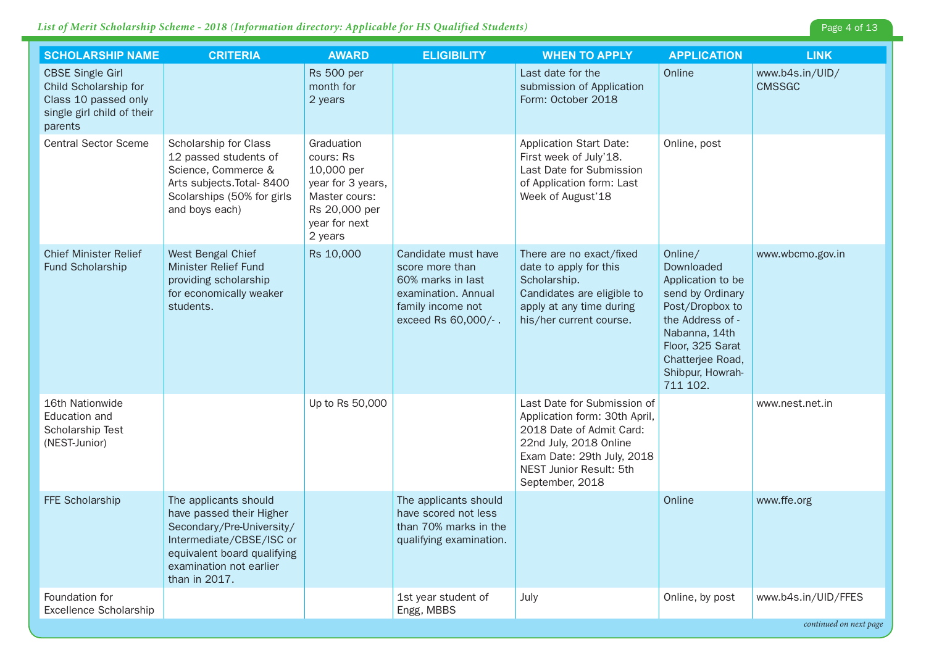| <b>SCHOLARSHIP NAME</b>                                                                                           | <b>CRITERIA</b>                                                                                                                                                                       | <b>AWARD</b>                                                                                                             | <b>ELIGIBILITY</b>                                                                                                             | <b>WHEN TO APPLY</b>                                                                                                                                                                           | <b>APPLICATION</b>                                                                                                                                                                             | <b>LINK</b>                      |
|-------------------------------------------------------------------------------------------------------------------|---------------------------------------------------------------------------------------------------------------------------------------------------------------------------------------|--------------------------------------------------------------------------------------------------------------------------|--------------------------------------------------------------------------------------------------------------------------------|------------------------------------------------------------------------------------------------------------------------------------------------------------------------------------------------|------------------------------------------------------------------------------------------------------------------------------------------------------------------------------------------------|----------------------------------|
| <b>CBSE Single Girl</b><br>Child Scholarship for<br>Class 10 passed only<br>single girl child of their<br>parents |                                                                                                                                                                                       | <b>Rs 500 per</b><br>month for<br>2 years                                                                                |                                                                                                                                | Last date for the<br>submission of Application<br>Form: October 2018                                                                                                                           | Online                                                                                                                                                                                         | www.b4s.in/UID/<br><b>CMSSGC</b> |
| <b>Central Sector Sceme</b>                                                                                       | Scholarship for Class<br>12 passed students of<br>Science, Commerce &<br>Arts subjects. Total- 8400<br>Scolarships (50% for girls<br>and boys each)                                   | Graduation<br>cours: Rs<br>10,000 per<br>year for 3 years,<br>Master cours:<br>Rs 20,000 per<br>year for next<br>2 years |                                                                                                                                | <b>Application Start Date:</b><br>First week of July'18.<br>Last Date for Submission<br>of Application form: Last<br>Week of August'18                                                         | Online, post                                                                                                                                                                                   |                                  |
| <b>Chief Minister Relief</b><br>Fund Scholarship                                                                  | West Bengal Chief<br><b>Minister Relief Fund</b><br>providing scholarship<br>for economically weaker<br>students.                                                                     | Rs 10,000                                                                                                                | Candidate must have<br>score more than<br>60% marks in last<br>examination. Annual<br>family income not<br>exceed Rs 60,000/-. | There are no exact/fixed<br>date to apply for this<br>Scholarship.<br>Candidates are eligible to<br>apply at any time during<br>his/her current course.                                        | Online/<br>Downloaded<br>Application to be<br>send by Ordinary<br>Post/Dropbox to<br>the Address of -<br>Nabanna, 14th<br>Floor, 325 Sarat<br>Chatterjee Road,<br>Shibpur, Howrah-<br>711 102. | www.wbcmo.gov.in                 |
| 16th Nationwide<br>Education and<br>Scholarship Test<br>(NEST-Junior)                                             |                                                                                                                                                                                       | Up to Rs 50,000                                                                                                          |                                                                                                                                | Last Date for Submission of<br>Application form: 30th April,<br>2018 Date of Admit Card:<br>22nd July, 2018 Online<br>Exam Date: 29th July, 2018<br>NEST Junior Result: 5th<br>September, 2018 |                                                                                                                                                                                                | www.nest.net.in                  |
| FFE Scholarship                                                                                                   | The applicants should<br>have passed their Higher<br>Secondary/Pre-University/<br>Intermediate/CBSE/ISC or<br>equivalent board qualifying<br>examination not earlier<br>than in 2017. |                                                                                                                          | The applicants should<br>have scored not less<br>than 70% marks in the<br>qualifying examination.                              |                                                                                                                                                                                                | Online                                                                                                                                                                                         | www.ffe.org                      |
| Foundation for<br>Excellence Scholarship                                                                          |                                                                                                                                                                                       |                                                                                                                          | 1st year student of<br>Engg, MBBS                                                                                              | July                                                                                                                                                                                           | Online, by post                                                                                                                                                                                | www.b4s.in/UID/FFES              |

*continued on next page*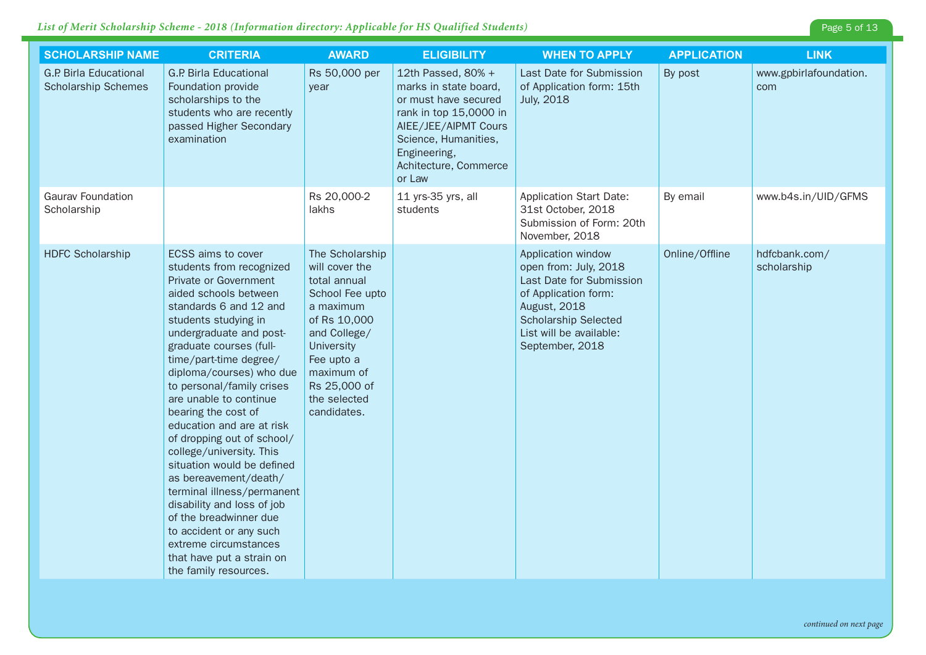| <b>SCHOLARSHIP NAME</b>                                     | <b>CRITERIA</b>                                                                                                                                                                                                                                                                                                                                                                                                                                                                                                                                                                                                                                                                            | <b>AWARD</b>                                                                                                                                                                                               | <b>ELIGIBILITY</b>                                                                                                                                                                               | <b>WHEN TO APPLY</b>                                                                                                                                                                         | <b>APPLICATION</b> | <b>LINK</b>                   |
|-------------------------------------------------------------|--------------------------------------------------------------------------------------------------------------------------------------------------------------------------------------------------------------------------------------------------------------------------------------------------------------------------------------------------------------------------------------------------------------------------------------------------------------------------------------------------------------------------------------------------------------------------------------------------------------------------------------------------------------------------------------------|------------------------------------------------------------------------------------------------------------------------------------------------------------------------------------------------------------|--------------------------------------------------------------------------------------------------------------------------------------------------------------------------------------------------|----------------------------------------------------------------------------------------------------------------------------------------------------------------------------------------------|--------------------|-------------------------------|
| <b>G.P. Birla Educational</b><br><b>Scholarship Schemes</b> | <b>G.P. Birla Educational</b><br>Foundation provide<br>scholarships to the<br>students who are recently<br>passed Higher Secondary<br>examination                                                                                                                                                                                                                                                                                                                                                                                                                                                                                                                                          | Rs 50,000 per<br>year                                                                                                                                                                                      | 12th Passed, 80% +<br>marks in state board,<br>or must have secured<br>rank in top 15,0000 in<br>AIEE/JEE/AIPMT Cours<br>Science, Humanities,<br>Engineering,<br>Achitecture, Commerce<br>or Law | Last Date for Submission<br>of Application form: 15th<br><b>July, 2018</b>                                                                                                                   | By post            | www.gpbirlafoundation.<br>com |
| <b>Gaurav Foundation</b><br>Scholarship                     |                                                                                                                                                                                                                                                                                                                                                                                                                                                                                                                                                                                                                                                                                            | Rs 20,000-2<br>lakhs                                                                                                                                                                                       | 11 yrs-35 yrs, all<br>students                                                                                                                                                                   | <b>Application Start Date:</b><br>31st October, 2018<br>Submission of Form: 20th<br>November, 2018                                                                                           | By email           | www.b4s.in/UID/GFMS           |
| <b>HDFC Scholarship</b>                                     | ECSS aims to cover<br>students from recognized<br>Private or Government<br>aided schools between<br>standards 6 and 12 and<br>students studying in<br>undergraduate and post-<br>graduate courses (full-<br>time/part-time degree/<br>diploma/courses) who due<br>to personal/family crises<br>are unable to continue<br>bearing the cost of<br>education and are at risk<br>of dropping out of school/<br>college/university. This<br>situation would be defined<br>as bereavement/death/<br>terminal illness/permanent<br>disability and loss of job<br>of the breadwinner due<br>to accident or any such<br>extreme circumstances<br>that have put a strain on<br>the family resources. | The Scholarship<br>will cover the<br>total annual<br>School Fee upto<br>a maximum<br>of Rs 10,000<br>and College/<br>University<br>Fee upto a<br>maximum of<br>Rs 25,000 of<br>the selected<br>candidates. |                                                                                                                                                                                                  | Application window<br>open from: July, 2018<br>Last Date for Submission<br>of Application form:<br>August, 2018<br><b>Scholarship Selected</b><br>List will be available:<br>September, 2018 | Online/Offline     | hdfcbank.com/<br>scholarship  |

Page 5 of 13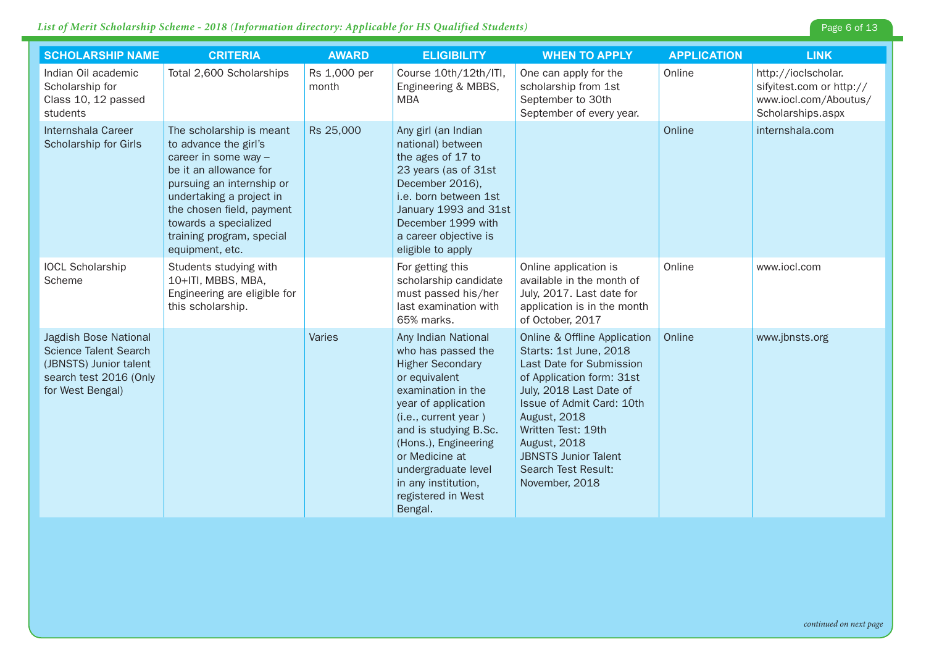| <b>SCHOLARSHIP NAME</b>                                                                                                       | <b>CRITERIA</b>                                                                                                                                                                                                                                                    | <b>AWARD</b>          | <b>ELIGIBILITY</b>                                                                                                                                                                                                                                                                                           | <b>WHEN TO APPLY</b>                                                                                                                                                                                                                                                                                                | <b>APPLICATION</b> | <b>LINK</b>                                                                                   |
|-------------------------------------------------------------------------------------------------------------------------------|--------------------------------------------------------------------------------------------------------------------------------------------------------------------------------------------------------------------------------------------------------------------|-----------------------|--------------------------------------------------------------------------------------------------------------------------------------------------------------------------------------------------------------------------------------------------------------------------------------------------------------|---------------------------------------------------------------------------------------------------------------------------------------------------------------------------------------------------------------------------------------------------------------------------------------------------------------------|--------------------|-----------------------------------------------------------------------------------------------|
| Indian Oil academic<br>Scholarship for<br>Class 10, 12 passed<br>students                                                     | Total 2,600 Scholarships                                                                                                                                                                                                                                           | Rs 1,000 per<br>month | Course 10th/12th/ITI,<br>Engineering & MBBS,<br><b>MBA</b>                                                                                                                                                                                                                                                   | One can apply for the<br>scholarship from 1st<br>September to 30th<br>September of every year.                                                                                                                                                                                                                      | Online             | http://ioclscholar.<br>sifyitest.com or http://<br>www.iocl.com/Aboutus/<br>Scholarships.aspx |
| Internshala Career<br>Scholarship for Girls                                                                                   | The scholarship is meant<br>to advance the girl's<br>career in some way -<br>be it an allowance for<br>pursuing an internship or<br>undertaking a project in<br>the chosen field, payment<br>towards a specialized<br>training program, special<br>equipment, etc. | Rs 25,000             | Any girl (an Indian<br>national) between<br>the ages of 17 to<br>23 years (as of 31st<br>December 2016),<br>i.e. born between 1st<br>January 1993 and 31st<br>December 1999 with<br>a career objective is<br>eligible to apply                                                                               |                                                                                                                                                                                                                                                                                                                     | Online             | internshala.com                                                                               |
| <b>IOCL Scholarship</b><br>Scheme                                                                                             | Students studying with<br>10+ITI, MBBS, MBA,<br>Engineering are eligible for<br>this scholarship.                                                                                                                                                                  |                       | For getting this<br>scholarship candidate<br>must passed his/her<br>last examination with<br>65% marks.                                                                                                                                                                                                      | Online application is<br>available in the month of<br>July, 2017. Last date for<br>application is in the month<br>of October, 2017                                                                                                                                                                                  | Online             | www.iocl.com                                                                                  |
| Jagdish Bose National<br><b>Science Talent Search</b><br>(JBNSTS) Junior talent<br>search test 2016 (Only<br>for West Bengal) |                                                                                                                                                                                                                                                                    | Varies                | Any Indian National<br>who has passed the<br><b>Higher Secondary</b><br>or equivalent<br>examination in the<br>year of application<br>(i.e., current year)<br>and is studying B.Sc.<br>(Hons.), Engineering<br>or Medicine at<br>undergraduate level<br>in any institution,<br>registered in West<br>Bengal. | Online & Offline Application<br>Starts: 1st June, 2018<br>Last Date for Submission<br>of Application form: 31st<br>July, 2018 Last Date of<br>Issue of Admit Card: 10th<br><b>August, 2018</b><br>Written Test: 19th<br><b>August, 2018</b><br><b>JBNSTS Junior Talent</b><br>Search Test Result:<br>November, 2018 | Online             | www.jbnsts.org                                                                                |

Page 6 of 13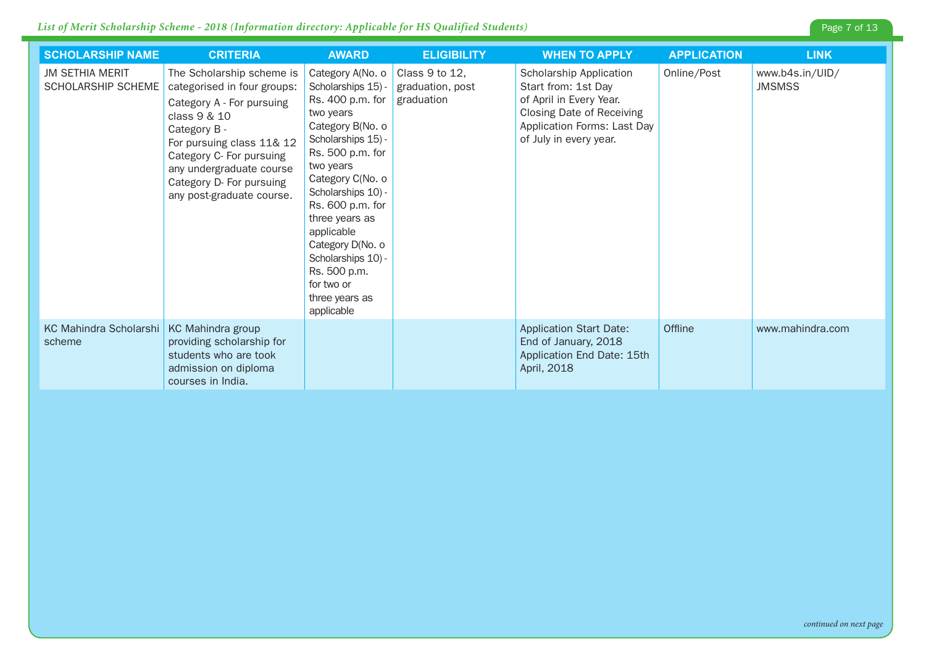| <b>SCHOLARSHIP NAME</b>                              | <b>CRITERIA</b>                                                                                                                                                                                                                                                     | <b>AWARD</b>                                                                                                                                                                                                                                                                                                                                             | <b>ELIGIBILITY</b>                               | <b>WHEN TO APPLY</b>                                                                                                                                            | <b>APPLICATION</b> | <b>LINK</b>                      |
|------------------------------------------------------|---------------------------------------------------------------------------------------------------------------------------------------------------------------------------------------------------------------------------------------------------------------------|----------------------------------------------------------------------------------------------------------------------------------------------------------------------------------------------------------------------------------------------------------------------------------------------------------------------------------------------------------|--------------------------------------------------|-----------------------------------------------------------------------------------------------------------------------------------------------------------------|--------------------|----------------------------------|
| <b>JM SETHIA MERIT</b><br>SCHOLARSHIP SCHEME         | The Scholarship scheme is<br>categorised in four groups:<br>Category A - For pursuing<br>class 9 & 10<br>Category B -<br>For pursuing class 11& 12<br>Category C- For pursuing<br>any undergraduate course<br>Category D- For pursuing<br>any post-graduate course. | Category A(No. o<br>Scholarships 15) -<br>Rs. 400 p.m. for<br>two years<br>Category B(No. o<br>Scholarships 15) -<br>Rs. 500 p.m. for<br>two years<br>Category C(No. o<br>Scholarships 10) -<br>Rs. 600 p.m. for<br>three years as<br>applicable<br>Category D(No. o<br>Scholarships 10) -<br>Rs. 500 p.m.<br>for two or<br>three years as<br>applicable | Class 9 to 12,<br>graduation, post<br>graduation | Scholarship Application<br>Start from: 1st Day<br>of April in Every Year.<br>Closing Date of Receiving<br>Application Forms: Last Day<br>of July in every year. | Online/Post        | www.b4s.in/UID/<br><b>JMSMSS</b> |
| KC Mahindra Scholarshi   KC Mahindra group<br>scheme | providing scholarship for<br>students who are took<br>admission on diploma<br>courses in India.                                                                                                                                                                     |                                                                                                                                                                                                                                                                                                                                                          |                                                  | <b>Application Start Date:</b><br>End of January, 2018<br>Application End Date: 15th<br>April, 2018                                                             | Offline            | www.mahindra.com                 |

Page 7 of 13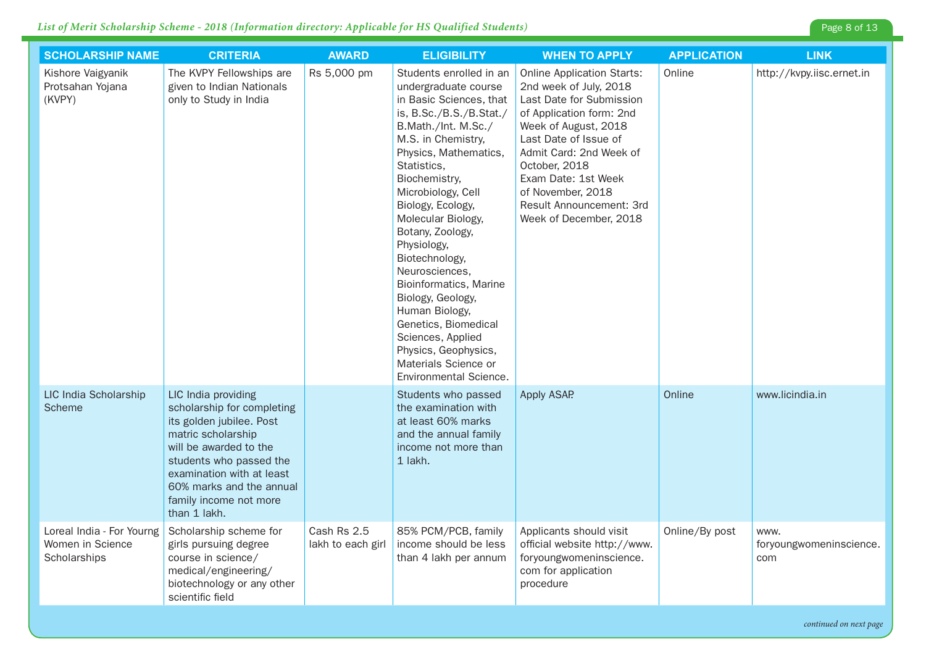| <b>SCHOLARSHIP NAME</b>                                       | <b>CRITERIA</b>                                                                                                                                                                                                                                             | <b>AWARD</b>                     | <b>ELIGIBILITY</b>                                                                                                                                                                                                                                                                                                                                                                                                                                                                                                                          | <b>WHEN TO APPLY</b>                                                                                                                                                                                                                                                                                               | <b>APPLICATION</b> | <b>LINK</b>                            |
|---------------------------------------------------------------|-------------------------------------------------------------------------------------------------------------------------------------------------------------------------------------------------------------------------------------------------------------|----------------------------------|---------------------------------------------------------------------------------------------------------------------------------------------------------------------------------------------------------------------------------------------------------------------------------------------------------------------------------------------------------------------------------------------------------------------------------------------------------------------------------------------------------------------------------------------|--------------------------------------------------------------------------------------------------------------------------------------------------------------------------------------------------------------------------------------------------------------------------------------------------------------------|--------------------|----------------------------------------|
| Kishore Vaigyanik<br>Protsahan Yojana<br>(KVPY)               | The KVPY Fellowships are<br>given to Indian Nationals<br>only to Study in India                                                                                                                                                                             | Rs 5,000 pm                      | Students enrolled in an<br>undergraduate course<br>in Basic Sciences, that<br>is, B.Sc./B.S./B.Stat./<br>B.Math./Int. M.Sc./<br>M.S. in Chemistry,<br>Physics, Mathematics,<br>Statistics,<br>Biochemistry,<br>Microbiology, Cell<br>Biology, Ecology,<br>Molecular Biology,<br>Botany, Zoology,<br>Physiology,<br>Biotechnology,<br>Neurosciences,<br>Bioinformatics, Marine<br>Biology, Geology,<br>Human Biology,<br>Genetics, Biomedical<br>Sciences, Applied<br>Physics, Geophysics,<br>Materials Science or<br>Environmental Science. | <b>Online Application Starts:</b><br>2nd week of July, 2018<br>Last Date for Submission<br>of Application form: 2nd<br>Week of August, 2018<br>Last Date of Issue of<br>Admit Card: 2nd Week of<br>October, 2018<br>Exam Date: 1st Week<br>of November, 2018<br>Result Announcement: 3rd<br>Week of December, 2018 | Online             | http://kvpy.iisc.ernet.in              |
| LIC India Scholarship<br>Scheme                               | LIC India providing<br>scholarship for completing<br>its golden jubilee. Post<br>matric scholarship<br>will be awarded to the<br>students who passed the<br>examination with at least<br>60% marks and the annual<br>family income not more<br>than 1 lakh. |                                  | Students who passed<br>the examination with<br>at least 60% marks<br>and the annual family<br>income not more than<br>1 lakh.                                                                                                                                                                                                                                                                                                                                                                                                               | Apply ASAP                                                                                                                                                                                                                                                                                                         | Online             | www.licindia.in                        |
| Loreal India - For Yourng<br>Women in Science<br>Scholarships | Scholarship scheme for<br>girls pursuing degree<br>course in science/<br>medical/engineering/<br>biotechnology or any other<br>scientific field                                                                                                             | Cash Rs 2.5<br>lakh to each girl | 85% PCM/PCB, family<br>income should be less<br>than 4 lakh per annum                                                                                                                                                                                                                                                                                                                                                                                                                                                                       | Applicants should visit<br>official website http://www.<br>foryoungwomeninscience.<br>com for application<br>procedure                                                                                                                                                                                             | Online/By post     | www.<br>foryoungwomeninscience.<br>com |

*continued on next page*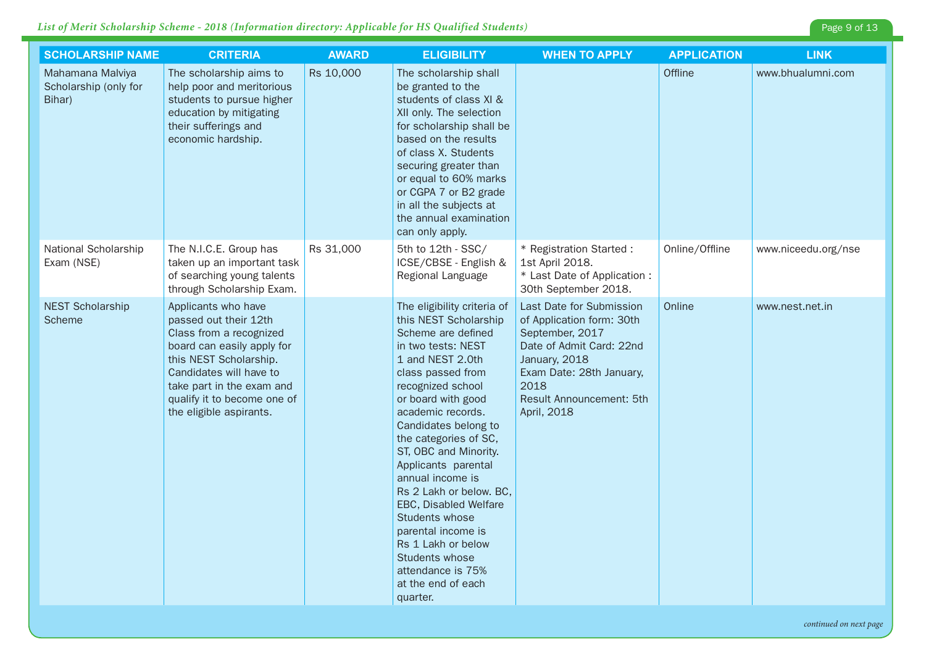| <b>SCHOLARSHIP NAME</b>                             | <b>CRITERIA</b>                                                                                                                                                                                                                                   | <b>AWARD</b> | <b>ELIGIBILITY</b>                                                                                                                                                                                                                                                                                                                                                                                                                                                                                                        | <b>WHEN TO APPLY</b>                                                                                                                                                                                        | <b>APPLICATION</b> | <b>LINK</b>         |
|-----------------------------------------------------|---------------------------------------------------------------------------------------------------------------------------------------------------------------------------------------------------------------------------------------------------|--------------|---------------------------------------------------------------------------------------------------------------------------------------------------------------------------------------------------------------------------------------------------------------------------------------------------------------------------------------------------------------------------------------------------------------------------------------------------------------------------------------------------------------------------|-------------------------------------------------------------------------------------------------------------------------------------------------------------------------------------------------------------|--------------------|---------------------|
| Mahamana Malviya<br>Scholarship (only for<br>Bihar) | The scholarship aims to<br>help poor and meritorious<br>students to pursue higher<br>education by mitigating<br>their sufferings and<br>economic hardship.                                                                                        | Rs 10,000    | The scholarship shall<br>be granted to the<br>students of class XI &<br>XII only. The selection<br>for scholarship shall be<br>based on the results<br>of class X. Students<br>securing greater than<br>or equal to 60% marks<br>or CGPA 7 or B2 grade<br>in all the subjects at<br>the annual examination<br>can only apply.                                                                                                                                                                                             |                                                                                                                                                                                                             | Offline            | www.bhualumni.com   |
| National Scholarship<br>Exam (NSE)                  | The N.I.C.E. Group has<br>taken up an important task<br>of searching young talents<br>through Scholarship Exam.                                                                                                                                   | Rs 31,000    | 5th to 12th - SSC/<br>ICSE/CBSE - English &<br>Regional Language                                                                                                                                                                                                                                                                                                                                                                                                                                                          | * Registration Started :<br>1st April 2018.<br>* Last Date of Application :<br>30th September 2018.                                                                                                         | Online/Offline     | www.niceedu.org/nse |
| <b>NEST Scholarship</b><br>Scheme                   | Applicants who have<br>passed out their 12th<br>Class from a recognized<br>board can easily apply for<br>this NEST Scholarship.<br>Candidates will have to<br>take part in the exam and<br>qualify it to become one of<br>the eligible aspirants. |              | The eligibility criteria of<br>this NEST Scholarship<br>Scheme are defined<br>in two tests: NEST<br>1 and NEST 2.0th<br>class passed from<br>recognized school<br>or board with good<br>academic records.<br>Candidates belong to<br>the categories of SC,<br>ST, OBC and Minority.<br>Applicants parental<br>annual income is<br>Rs 2 Lakh or below. BC,<br>EBC, Disabled Welfare<br>Students whose<br>parental income is<br>Rs 1 Lakh or below<br>Students whose<br>attendance is 75%<br>at the end of each<br>quarter. | Last Date for Submission<br>of Application form: 30th<br>September, 2017<br>Date of Admit Card: 22nd<br>January, 2018<br>Exam Date: 28th January,<br>2018<br><b>Result Announcement: 5th</b><br>April, 2018 | Online             | www.nest.net.in     |

Page 9 of 13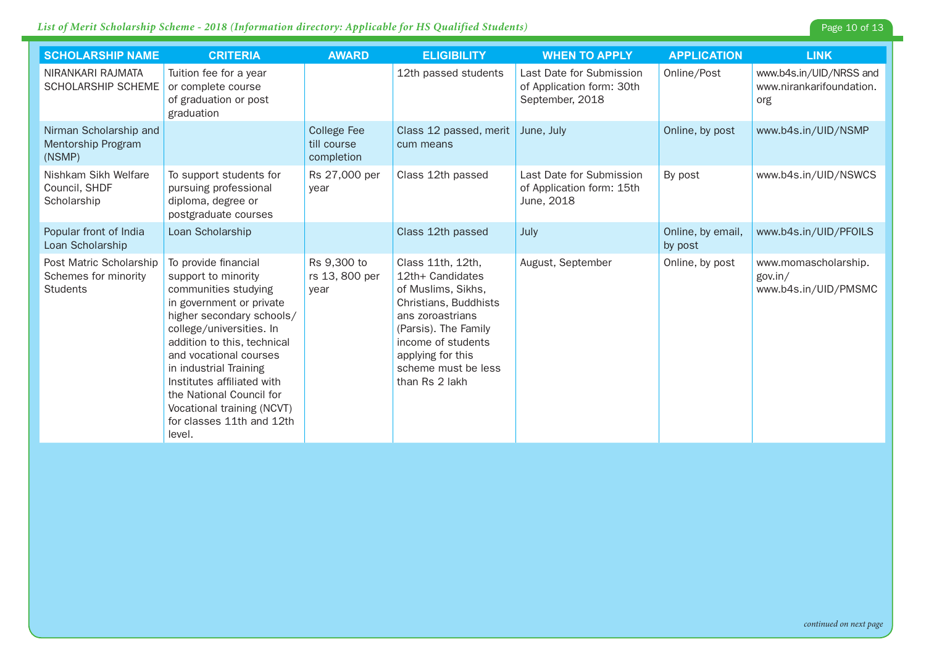| Page 10 of 13 |  |  |
|---------------|--|--|
|               |  |  |

| <b>SCHOLARSHIP NAME</b>                                            | <b>CRITERIA</b>                                                                                                                                                                                                                                                                                                                                                            | <b>AWARD</b>                                    | <b>ELIGIBILITY</b>                                                                                                                                                                                                   | <b>WHEN TO APPLY</b>                                                     | <b>APPLICATION</b>           | <b>LINK</b>                                                |
|--------------------------------------------------------------------|----------------------------------------------------------------------------------------------------------------------------------------------------------------------------------------------------------------------------------------------------------------------------------------------------------------------------------------------------------------------------|-------------------------------------------------|----------------------------------------------------------------------------------------------------------------------------------------------------------------------------------------------------------------------|--------------------------------------------------------------------------|------------------------------|------------------------------------------------------------|
| NIRANKARI RAJMATA<br>SCHOLARSHIP SCHEME                            | Tuition fee for a year<br>or complete course<br>of graduation or post<br>graduation                                                                                                                                                                                                                                                                                        |                                                 | 12th passed students                                                                                                                                                                                                 | Last Date for Submission<br>of Application form: 30th<br>September, 2018 | Online/Post                  | www.b4s.in/UID/NRSS and<br>www.nirankarifoundation.<br>org |
| Nirman Scholarship and<br>Mentorship Program<br>(NSMP)             |                                                                                                                                                                                                                                                                                                                                                                            | <b>College Fee</b><br>till course<br>completion | Class 12 passed, merit<br>cum means                                                                                                                                                                                  | June, July                                                               | Online, by post              | www.b4s.in/UID/NSMP                                        |
| Nishkam Sikh Welfare<br>Council, SHDF<br>Scholarship               | To support students for<br>pursuing professional<br>diploma, degree or<br>postgraduate courses                                                                                                                                                                                                                                                                             | Rs 27,000 per<br>year                           | Class 12th passed                                                                                                                                                                                                    | Last Date for Submission<br>of Application form: 15th<br>June, 2018      | By post                      | www.b4s.in/UID/NSWCS                                       |
| Popular front of India<br>Loan Scholarship                         | Loan Scholarship                                                                                                                                                                                                                                                                                                                                                           |                                                 | Class 12th passed                                                                                                                                                                                                    | July                                                                     | Online, by email,<br>by post | www.b4s.in/UID/PFOILS                                      |
| Post Matric Scholarship<br>Schemes for minority<br><b>Students</b> | To provide financial<br>support to minority<br>communities studying<br>in government or private<br>higher secondary schools/<br>college/universities. In<br>addition to this, technical<br>and vocational courses<br>in industrial Training<br>Institutes affiliated with<br>the National Council for<br>Vocational training (NCVT)<br>for classes 11th and 12th<br>level. | Rs 9,300 to<br>rs 13, 800 per<br>year           | Class 11th, 12th,<br>12th+ Candidates<br>of Muslims, Sikhs,<br>Christians, Buddhists<br>ans zoroastrians<br>(Parsis). The Family<br>income of students<br>applying for this<br>scheme must be less<br>than Rs 2 lakh | August, September                                                        | Online, by post              | www.momascholarship.<br>gov.in/<br>www.b4s.in/UID/PMSMC    |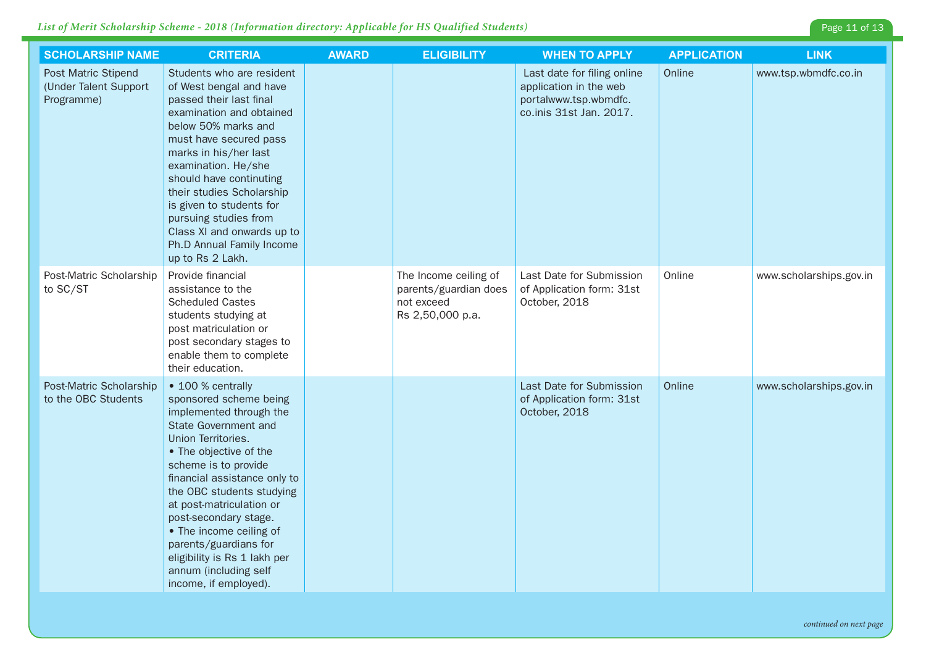| <b>SCHOLARSHIP NAME</b>                                           | <b>CRITERIA</b>                                                                                                                                                                                                                                                                                                                                                                                                                | <b>AWARD</b> | <b>ELIGIBILITY</b>                                                               | <b>WHEN TO APPLY</b>                                                                                      | <b>APPLICATION</b> | <b>LINK</b>             |
|-------------------------------------------------------------------|--------------------------------------------------------------------------------------------------------------------------------------------------------------------------------------------------------------------------------------------------------------------------------------------------------------------------------------------------------------------------------------------------------------------------------|--------------|----------------------------------------------------------------------------------|-----------------------------------------------------------------------------------------------------------|--------------------|-------------------------|
| <b>Post Matric Stipend</b><br>(Under Talent Support<br>Programme) | Students who are resident<br>of West bengal and have<br>passed their last final<br>examination and obtained<br>below 50% marks and<br>must have secured pass<br>marks in his/her last<br>examination. He/she<br>should have continuting<br>their studies Scholarship<br>is given to students for<br>pursuing studies from<br>Class XI and onwards up to<br>Ph.D Annual Family Income<br>up to Rs 2 Lakh.                       |              |                                                                                  | Last date for filing online<br>application in the web<br>portalwww.tsp.wbmdfc.<br>co.inis 31st Jan. 2017. | Online             | www.tsp.wbmdfc.co.in    |
| Post-Matric Scholarship<br>to SC/ST                               | Provide financial<br>assistance to the<br><b>Scheduled Castes</b><br>students studying at<br>post matriculation or<br>post secondary stages to<br>enable them to complete<br>their education.                                                                                                                                                                                                                                  |              | The Income ceiling of<br>parents/guardian does<br>not exceed<br>Rs 2,50,000 p.a. | Last Date for Submission<br>of Application form: 31st<br>October, 2018                                    | Online             | www.scholarships.gov.in |
| Post-Matric Scholarship<br>to the OBC Students                    | • 100 % centrally<br>sponsored scheme being<br>implemented through the<br>State Government and<br>Union Territories.<br>• The objective of the<br>scheme is to provide<br>financial assistance only to<br>the OBC students studying<br>at post-matriculation or<br>post-secondary stage.<br>• The income ceiling of<br>parents/guardians for<br>eligibility is Rs 1 lakh per<br>annum (including self<br>income, if employed). |              |                                                                                  | Last Date for Submission<br>of Application form: 31st<br>October, 2018                                    | Online             | www.scholarships.gov.in |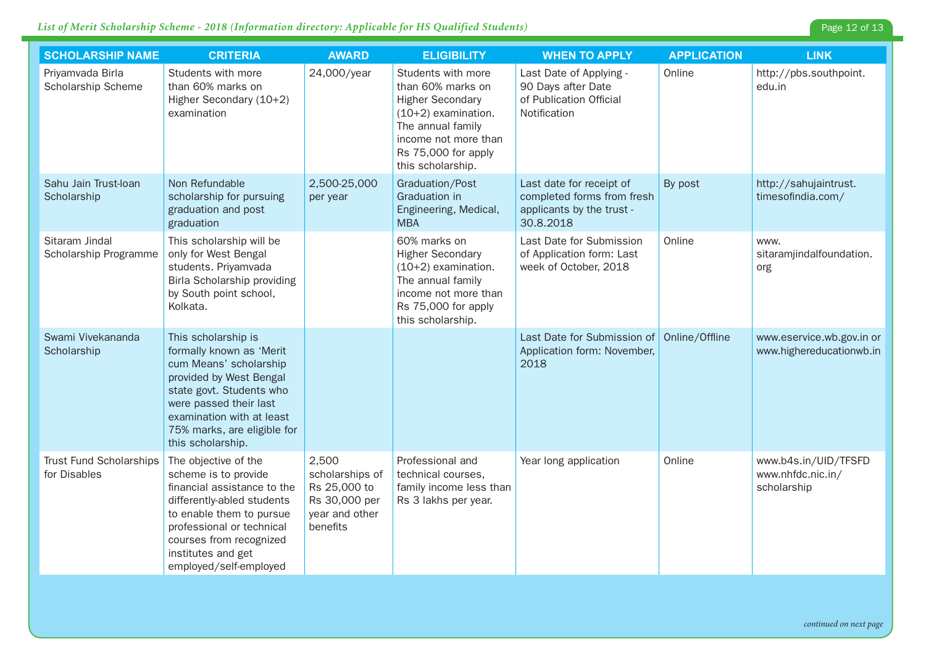| <b>SCHOLARSHIP NAME</b>                        | <b>CRITERIA</b>                                                                                                                                                                                                                               | <b>AWARD</b>                                                                            | <b>ELIGIBILITY</b>                                                                                                                                                                   | <b>WHEN TO APPLY</b>                                                                             | <b>APPLICATION</b> | <b>LINK</b>                                              |
|------------------------------------------------|-----------------------------------------------------------------------------------------------------------------------------------------------------------------------------------------------------------------------------------------------|-----------------------------------------------------------------------------------------|--------------------------------------------------------------------------------------------------------------------------------------------------------------------------------------|--------------------------------------------------------------------------------------------------|--------------------|----------------------------------------------------------|
| Priyamvada Birla<br>Scholarship Scheme         | Students with more<br>than 60% marks on<br>Higher Secondary (10+2)<br>examination                                                                                                                                                             | 24,000/year                                                                             | Students with more<br>than 60% marks on<br><b>Higher Secondary</b><br>$(10+2)$ examination.<br>The annual family<br>income not more than<br>Rs 75,000 for apply<br>this scholarship. | Last Date of Applying -<br>90 Days after Date<br>of Publication Official<br>Notification         | Online             | http://pbs.southpoint.<br>edu.in                         |
| Sahu Jain Trust-Ioan<br>Scholarship            | Non Refundable<br>scholarship for pursuing<br>graduation and post<br>graduation                                                                                                                                                               | 2,500-25,000<br>per year                                                                | Graduation/Post<br>Graduation in<br>Engineering, Medical,<br><b>MBA</b>                                                                                                              | Last date for receipt of<br>completed forms from fresh<br>applicants by the trust -<br>30.8.2018 | By post            | http://sahujaintrust.<br>timesofindia.com/               |
| Sitaram Jindal<br>Scholarship Programme        | This scholarship will be<br>only for West Bengal<br>students. Priyamvada<br>Birla Scholarship providing<br>by South point school,<br>Kolkata.                                                                                                 |                                                                                         | 60% marks on<br><b>Higher Secondary</b><br>$(10+2)$ examination.<br>The annual family<br>income not more than<br>Rs 75,000 for apply<br>this scholarship.                            | Last Date for Submission<br>of Application form: Last<br>week of October, 2018                   | Online             | www.<br>sitaramjindalfoundation.<br>org                  |
| Swami Vivekananda<br>Scholarship               | This scholarship is<br>formally known as 'Merit<br>cum Means' scholarship<br>provided by West Bengal<br>state govt. Students who<br>were passed their last<br>examination with at least<br>75% marks, are eligible for<br>this scholarship.   |                                                                                         |                                                                                                                                                                                      | Last Date for Submission of<br>Application form: November,<br>2018                               | Online/Offline     | www.eservice.wb.gov.in or<br>www.highereducationwb.in    |
| <b>Trust Fund Scholarships</b><br>for Disables | The objective of the<br>scheme is to provide<br>financial assistance to the<br>differently-abled students<br>to enable them to pursue<br>professional or technical<br>courses from recognized<br>institutes and get<br>employed/self-employed | 2,500<br>scholarships of<br>Rs 25,000 to<br>Rs 30,000 per<br>year and other<br>benefits | Professional and<br>technical courses,<br>family income less than<br>Rs 3 lakhs per year.                                                                                            | Year long application                                                                            | Online             | www.b4s.in/UID/TFSFD<br>www.nhfdc.nic.in/<br>scholarship |

Page 12 of 13